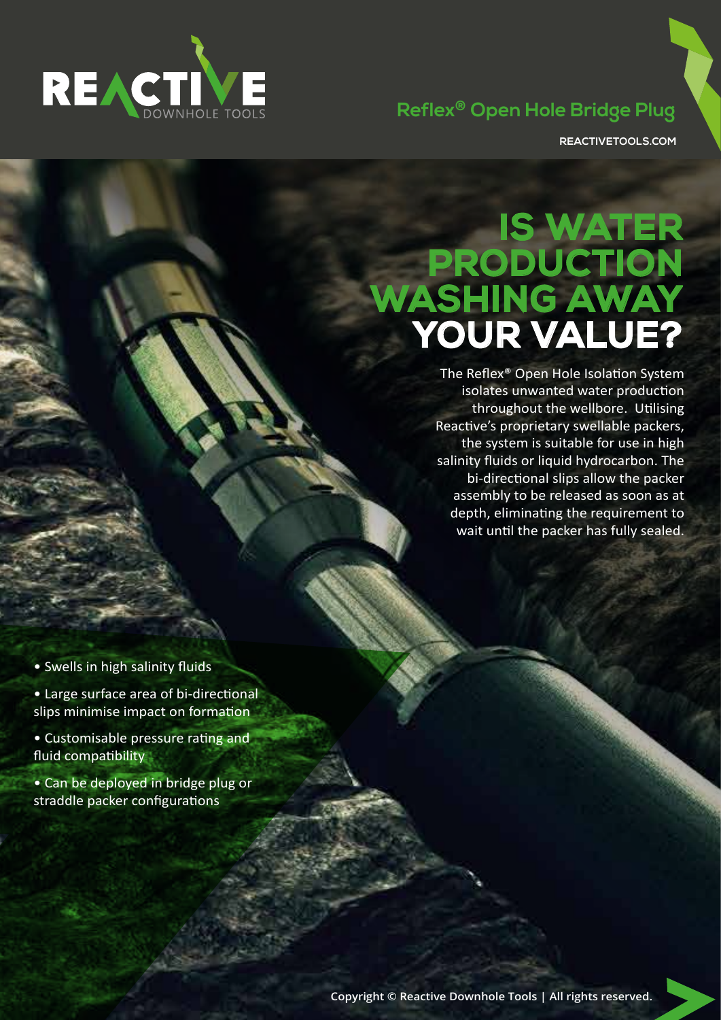

## **Reflex® Open Hole Bridge Plug**

**REACTIVETOOLS.COM**

## **IS WATER PRODUCTION WASHING AWAY YOUR VALUE?**

The Reflex® Open Hole Isolation System isolates unwanted water production throughout the wellbore. Utilising Reactive's proprietary swellable packers, the system is suitable for use in high salinity fluids or liquid hydrocarbon. The bi-directional slips allow the packer assembly to be released as soon as at depth, eliminating the requirement to wait until the packer has fully sealed.

- Swells in high salinity fluids
- Large surface area of bi-directional slips minimise impact on formation
- Customisable pressure rating and fluid compatibility
- Can be deployed in bridge plug or straddle packer configurations